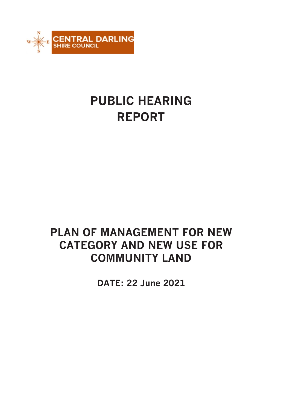

# **PUBLIC HEARING REPORT**

# **PLAN OF MANAGEMENT FOR NEW CATEGORY AND NEW USE FOR COMMUNITY LAND**

**DATE: 22 June 2021**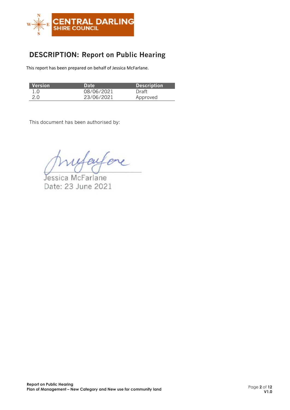

## **DESCRIPTION: Report on Public Hearing**

This report has been prepared on behalf of Jessica McFarlane.

| Version | <b>Date</b> | <b>Description</b> |
|---------|-------------|--------------------|
| 1.0     | 08/06/2021  | Draft              |
| 2.0     | 23/06/2021  | Approved           |

This document has been authorised by:

faifore

Jessica McFarlane Date: 23 June 2021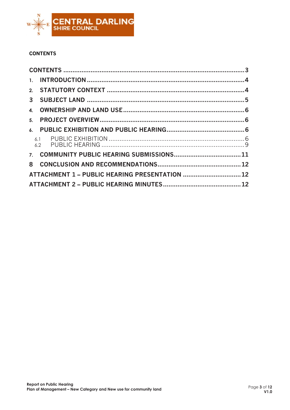

## <span id="page-2-0"></span>**CONTENTS**

| 1.                                             |  |
|------------------------------------------------|--|
|                                                |  |
| $\mathbf{3}$                                   |  |
| 4.                                             |  |
| 5 <sub>1</sub>                                 |  |
| 6.                                             |  |
|                                                |  |
|                                                |  |
| 8                                              |  |
| ATTACHMENT 1 - PUBLIC HEARING PRESENTATION  12 |  |
|                                                |  |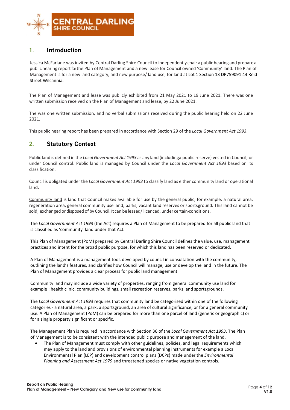

## <span id="page-3-0"></span>**1. Introduction**

Jessica McFarlane was invited by Central Darling Shire Council to independently chair a public hearing and prepare a public hearing report for the Plan of Management and a new lease for Council owned 'Community' land. The Plan of Management is for a new land category, and new purpose/ land use, for land at Lot 1 Section 13 DP759091 44 Reid Street Wilcannia.

The Plan of Management and lease was publicly exhibited from 21 May 2021 to 19 June 2021. There was one written submission received on the Plan of Management and lease, by 22 June 2021.

The was one written submission, and no verbal submissions received during the public hearing held on 22 June 2021.

This public hearing report has been prepared in accordance with Section 29 of the *Local Government Act 1993*.

## <span id="page-3-1"></span>**2. Statutory Context**

Public land is defined in the *Local Government Act 1993* as any land (includinga public reserve) vested in Council, or under Council control. Public land is managed by Council under the *Local Government Act 1993* based on its classification.

Council is obligated under the *Local Government Act 1993* to classify land as either community land or operational land.

Community land is land that Council makes available for use by the general public, for example: a natural area, regeneration area, general community use land, parks, vacant land reserves or sportsground. This land cannot be sold, exchanged or disposed of by Council. It can be leased/ licenced, under certain-conditions.

The *Local Government Act 1993* (the Act) requires a Plan of Management to be prepared for all public land that is classified as 'community' land under that Act.

This Plan of Management (PoM) prepared by Central Darling Shire Council defines the value, use, management practices and intent for the broad public purpose, for which this land has been reserved or dedicated.

A Plan of Management is a management tool, developed by council in consultation with the community, outlining the land's features, and clarifies how Council will manage, use or develop the land in the future. The Plan of Management provides a clear process for public land management.

Community land may include a wide variety of properties, ranging from general community use land for example : health clinic, community buildings, small recreation reserves, parks, and sportsgrounds.

The *Local Government Act 1993* requires that community land be categorised within one of the following categories - a natural area, a park, a sportsground, an area of cultural significance, or for a general community use. A Plan of Management (PoM) can be prepared for more than one parcel of land (generic or geographic) or for a single property significant or specific.

The Management Plan is required in accordance with Section 36 of the *Local Government Act 1993*. The Plan of Management is to be consistent with the intended public purpose and management of the land.

• The Plan of Management must comply with other guidelines, policies, and legal requirements which may apply to the land and provisions of environmental planning instruments for example a Local Environmental Plan (LEP) and development control plans (DCPs) made under the *Environmental Planning and Assessment Act 1979* and threatened species or native vegetation controls.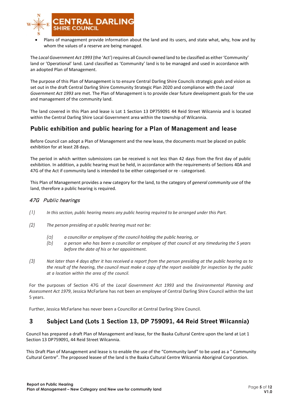

• Plans of management provide information about the land and its users, and state what, why, how and by whom the values of a reserve are being managed.

The *Local Government Act 1993* (the 'Act') requires all Council-owned land to be classified as either 'Community' land or 'Operational' land. Land classified as 'Community' land is to be managed and used in accordance with an adopted Plan of Management.

The purpose of this Plan of Management is to ensure Central Darling Shire Councils strategic goals and vision as set out in the draft Central Darling Shire Community Strategic Plan 2020 and compliance with the *Local Government Act 1993* are met. The Plan of Management is to provide clear future development goals for the use and management of the community land.

The land covered in this Plan and lease is Lot 1 Section 13 DP759091 44 Reid Street Wilcannia and is located within the Central Darling Shire Local Government area within the township of Wilcannia.

## **Public exhibition and public hearing for a Plan of Management and lease**

Before Council can adopt a Plan of Management and the new lease, the documents must be placed on public exhibition for at least 28 days.

The period in which written submissions can be received is not less than 42 days from the first day of public exhibition. In addition, a public hearing must be held, in accordance with the requirements of Sections 40A and 47G of the Act if community land is intended to be either categorised or re - categorised.

This Plan of Management provides a new category for the land, to the category of *general community use* of the land, therefore a public hearing is required.

#### 47G Public hearings

- *(1) In this section, public hearing means any public hearing required to be arranged under this Part.*
- *(2) The person presiding at a public hearing must not be:*
	- *(a) a councillor or employee of the council holding the public hearing, or*
	- (b) a person who has been a councillor or employee of that council at any timeduring the 5 years *before the date of his or her appointment.*
- *(3) Not later than 4 days after it has received a report from the person presiding at the public hearing as to the result of the hearing, the council must make a copy of the report available for inspection by the public at a location within the area of the council.*

For the purposes of Section 47G of the *Local Government Act 1993* and the *Environmental Planning and Assessment Act 1979*, Jessica McFarlane has not been an employee of Central Darling Shire Council within the last 5 years.

Further, Jessica McFarlane has never been a Councillor at Central Darling Shire Council.

## <span id="page-4-0"></span>**3 Subject Land (Lots 1 Section 13, DP 759091, 44 Reid Street Wilcannia)**

Council has prepared a draft Plan of Management and lease, for the Baaka Cultural Centre upon the land at Lot 1 Section 13 DP759091, 44 Reid Street Wilcannia.

This Draft Plan of Management and lease is to enable the use of the "Community land" to be used as a " Community Cultural Centre". The proposed leasee of the land is the Baaka Cultural Centre Wilcannia Aboriginal Corporation.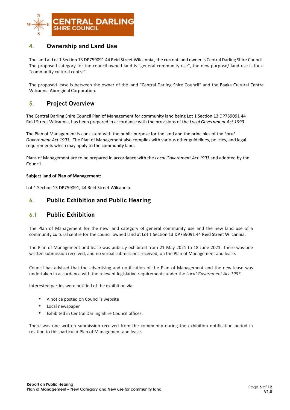

## <span id="page-5-0"></span>**4. Ownership and Land Use**

The land at Lot 1 Section 13 DP759091 44 Reid Street Wilcannia , the current land owner is Central Darling Shire Council. The proposed category for the council owned land is "general community use", the new purpose/ land use is for a "community cultural centre".

The proposed lease is between the owner of the land "Central Darling Shire Council" and the Baaka Cultural Centre Wilcannia Aboriginal Corporation.

## <span id="page-5-1"></span>**5. Project Overview**

The Central Darling Shire Council Plan of Management for community land being Lot 1 Section 13 DP759091 44 Reid Street Wilcannia, has been prepared in accordance with the provisions of the *Local Government Act 1993*.

The Plan of Management is consistent with the public purpose for the land and the principles of the *Local Government Act 1993.* The Plan of Management also complies with various other guidelines, policies, and legal requirements which may apply to the community land.

Plans of Management are to be prepared in accordance with the *Local Government Act 1993* and adopted by the Council.

#### **Subject land of Plan of Management**:

Lot 1 Section 13 DP759091, 44 Reid Street Wilcannia.

### <span id="page-5-3"></span><span id="page-5-2"></span>**6. Public Exhibition and Public Hearing**

### **6.1 Public Exhibition**

The Plan of Management for the new land category of general community use and the new land use of a community cultural centre for the council owned land at Lot 1 Section 13 DP759091 44 Reid Street Wilcannia.

The Plan of Management and lease was publicly exhibited from 21 May 2021 to 18 June 2021. There was one written submission received, and no verbal submissions received, on the Plan of Management and lease.

Council has advised that the advertising and notification of the Plan of Management and the new lease was undertaken in accordance with the relevant legislative requirements under the *Local Government Act 1993*.

Interested parties were notified of the exhibition via:

- A notice posted on Council's website
- Local newspaper
- Exhibited in Central Darling Shire Council offices.

There was one written submission received from the community during the exhibition notification period in relation to this particular Plan of Management and lease.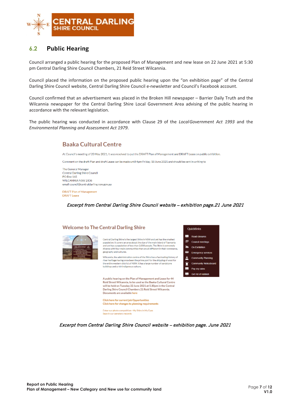

## <span id="page-6-0"></span>**6.2 Public Hearing**

Council arranged a public hearing for the proposed Plan of Management and new lease on 22 June 2021 at 5:30 pm Central Darling Shire Council Chambers, 21 Reid Street Wilcannia.

Council placed the information on the proposed public hearing upon the "on exhibition page" of the Central Darling Shire Council website, Central Darling Shire Council e-newsletter and Council's Facebook account.

Council confirmed that an advertisement was placed in the Broken Hill newspaper – Barrier Daily Truth and the Wilcannia newspaper for the Central Darling Shire Local Government Area advising of the public hearing in accordance with the relevant legislation.

The public hearing was conducted in accordance with Clause 29 of the *LocalGovernment Act 1993* and the *Environmental Planning and Assessment Act 1979*.

## **Baaka Cultural Centre**

At Council's meeting of 20 May 2021, it was resolved to put the DRAFT Plan of Management and DRAFT Lease on public exhibition.

Comment on the draft Plan and draft Lease can be made until 4pm Friday, 18 June 2021 and should be sent in writing to

The General Manager Central Darling Shire Council PO Box 165 WILCANNIA NSW 2836 email council@centraldarling.nsw.gov.au

**DRAFT Plan of Management DRAFT** Lease

Excerpt from Central Darling Shire Council website – exhibition page.21 June 2021



Excerpt from Central Darling Shire Council website – exhibition page. June 2021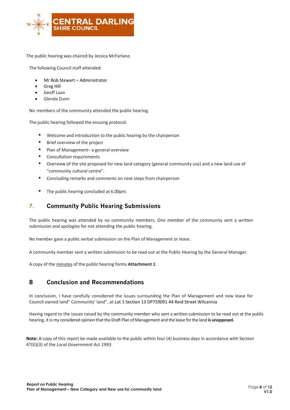

The public hearing was chaired by Jessica McFarlane.

The following Council staff attended:

- Mr Bob Stewart Administrator
- Greg Hill
- Geoff Laan
- Glenda Dunn

No members of the community attended the public hearing.

The public hearing followed the ensuing protocol:

- Welcome and introduction to the public hearing by the chairperson
- Brief overview of the project
- Plan of Management- a general overview
- Consultation requirements
- Overview of the site proposed for new land category (general community use) and a new land use of "community cultural centre".
- Concluding remarks and comments on next steps from chairperson
- The public hearing concluded at 6.00pm.

## <span id="page-7-0"></span>**7. Community Public Hearing Submissions**

The public hearing was attended by no community members. One member of the community sent a written submission and apologies for not attending the public hearing.

No member gave a public verbal submission on the Plan of Management or lease.

A community member sent a written submission to be read out at the Public Hearing by the General Manager.

<span id="page-7-1"></span>A copy of the minutes of the public hearing forms **Attachment 1**.

### **8 Conclusion and Recommendations**

In conclusion, I have carefully considered the issues surrounding the Plan of Management and new lease for Council owned land" Community' land", at Lot 1 Section 13 DP759091 44 Reid Street Wilcannia

Having regard to the issues raised by the community member who sent a written submission to be read out at the public hearing, it is my considered opinion that the Draft Plan of Management and the lease for the land is unopposed.

**Note:** A copy of this report be made available to the public within four (4) business days in accordance with Section 47(G)(3) of the *Local Government Act 1993*.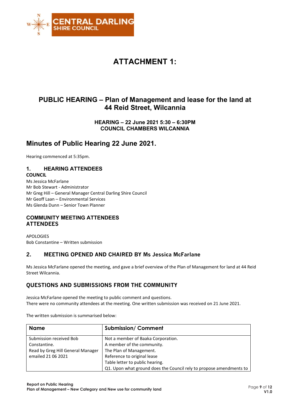

## **ATTACHMENT 1:**

## **PUBLIC HEARING – Plan of Management and lease for the land at 44 Reid Street, Wilcannia**

**HEARING – 22 June 2021 5:30 – 6:30PM COUNCIL CHAMBERS WILCANNIA**

## **Minutes of Public Hearing 22 June 2021.**

Hearing commenced at 5:35pm.

### **1. HEARING ATTENDEES**

#### **COUNCIL**

Ms Jessica McFarlane Mr Bob Stewart - Administrator Mr Greg Hill – General Manager Central Darling Shire Council Mr Geoff Laan – Environmental Services Ms Glenda Dunn – Senior Town Planner

#### **COMMUNITY MEETING ATTENDEES ATTENDEES**

APOLOGIES Bob Constantine – Written submission

### **2. MEETING OPENED AND CHAIRED BY Ms Jessica McFarlane**

Ms Jessica McFarlane opened the meeting, and gave a brief overview of the Plan of Management for land at 44 Reid Street Wilcannia.

### **QUESTIONS AND SUBMISSIONS FROM THE COMMUNITY**

Jessica McFarlane opened the meeting to public comment and questions. There were no community attendees at the meeting. One written submission was received on 21 June 2021.

The written submission is summarised below:

| <b>Name</b>                       | <b>Submission/Comment</b>                                           |
|-----------------------------------|---------------------------------------------------------------------|
| Submission received Bob           | Not a member of Baaka Corporation.                                  |
| Constantine.                      | A member of the community.                                          |
| Read by Greg Hill General Manager | The Plan of Management.                                             |
| emailed 21 06 2021                | Reference to original lease                                         |
|                                   | Table letter to public hearing.                                     |
|                                   | Q1. Upon what ground does the Council rely to propose amendments to |